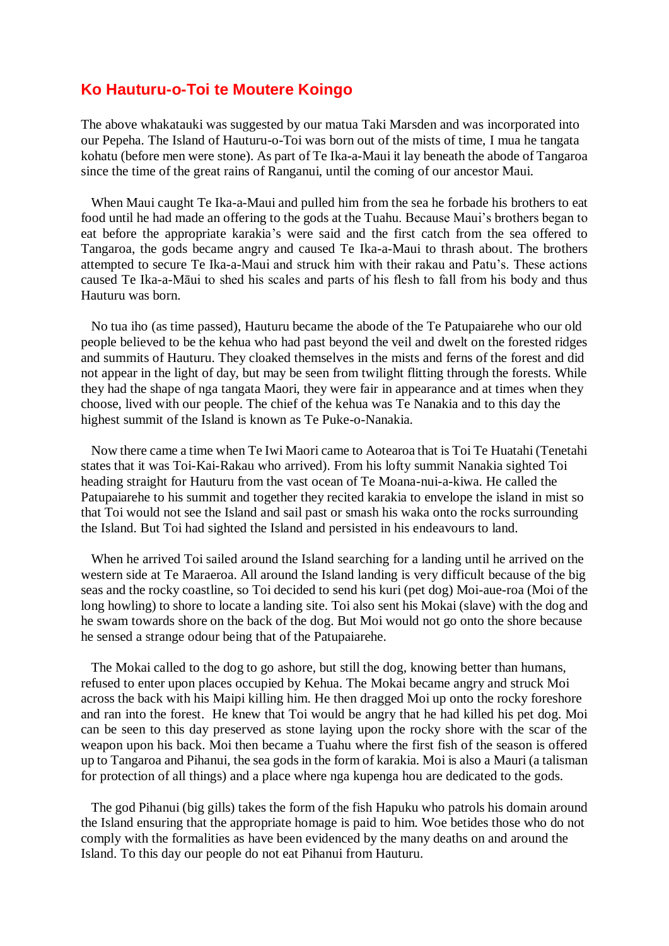## **Ko Hauturu-o-Toi te Moutere Koingo**

The above whakatauki was suggested by our matua Taki Marsden and was incorporated into our Pepeha. The Island of Hauturu-o-Toi was born out of the mists of time, I mua he tangata kohatu (before men were stone). As part of Te Ika-a-Maui it lay beneath the abode of Tangaroa since the time of the great rains of Ranganui, until the coming of our ancestor Maui.

 When Maui caught Te Ika-a-Maui and pulled him from the sea he forbade his brothers to eat food until he had made an offering to the gods at the Tuahu. Because Maui's brothers began to eat before the appropriate karakia's were said and the first catch from the sea offered to Tangaroa, the gods became angry and caused Te Ika-a-Maui to thrash about. The brothers attempted to secure Te Ika-a-Maui and struck him with their rakau and Patu's. These actions caused Te Ika-a-Māui to shed his scales and parts of his flesh to fall from his body and thus Hauturu was born.

 No tua iho (as time passed), Hauturu became the abode of the Te Patupaiarehe who our old people believed to be the kehua who had past beyond the veil and dwelt on the forested ridges and summits of Hauturu. They cloaked themselves in the mists and ferns of the forest and did not appear in the light of day, but may be seen from twilight flitting through the forests. While they had the shape of nga tangata Maori, they were fair in appearance and at times when they choose, lived with our people. The chief of the kehua was Te Nanakia and to this day the highest summit of the Island is known as Te Puke-o-Nanakia.

 Now there came a time when Te Iwi Maori came to Aotearoa that is Toi Te Huatahi (Tenetahi states that it was Toi-Kai-Rakau who arrived). From his lofty summit Nanakia sighted Toi heading straight for Hauturu from the vast ocean of Te Moana-nui-a-kiwa. He called the Patupaiarehe to his summit and together they recited karakia to envelope the island in mist so that Toi would not see the Island and sail past or smash his waka onto the rocks surrounding the Island. But Toi had sighted the Island and persisted in his endeavours to land.

 When he arrived Toi sailed around the Island searching for a landing until he arrived on the western side at Te Maraeroa. All around the Island landing is very difficult because of the big seas and the rocky coastline, so Toi decided to send his kuri (pet dog) Moi-aue-roa (Moi of the long howling) to shore to locate a landing site. Toi also sent his Mokai (slave) with the dog and he swam towards shore on the back of the dog. But Moi would not go onto the shore because he sensed a strange odour being that of the Patupaiarehe.

 The Mokai called to the dog to go ashore, but still the dog, knowing better than humans, refused to enter upon places occupied by Kehua. The Mokai became angry and struck Moi across the back with his Maipi killing him. He then dragged Moi up onto the rocky foreshore and ran into the forest. He knew that Toi would be angry that he had killed his pet dog. Moi can be seen to this day preserved as stone laying upon the rocky shore with the scar of the weapon upon his back. Moi then became a Tuahu where the first fish of the season is offered up to Tangaroa and Pihanui, the sea gods in the form of karakia. Moi is also a Mauri (a talisman for protection of all things) and a place where nga kupenga hou are dedicated to the gods.

 The god Pihanui (big gills) takes the form of the fish Hapuku who patrols his domain around the Island ensuring that the appropriate homage is paid to him. Woe betides those who do not comply with the formalities as have been evidenced by the many deaths on and around the Island. To this day our people do not eat Pihanui from Hauturu.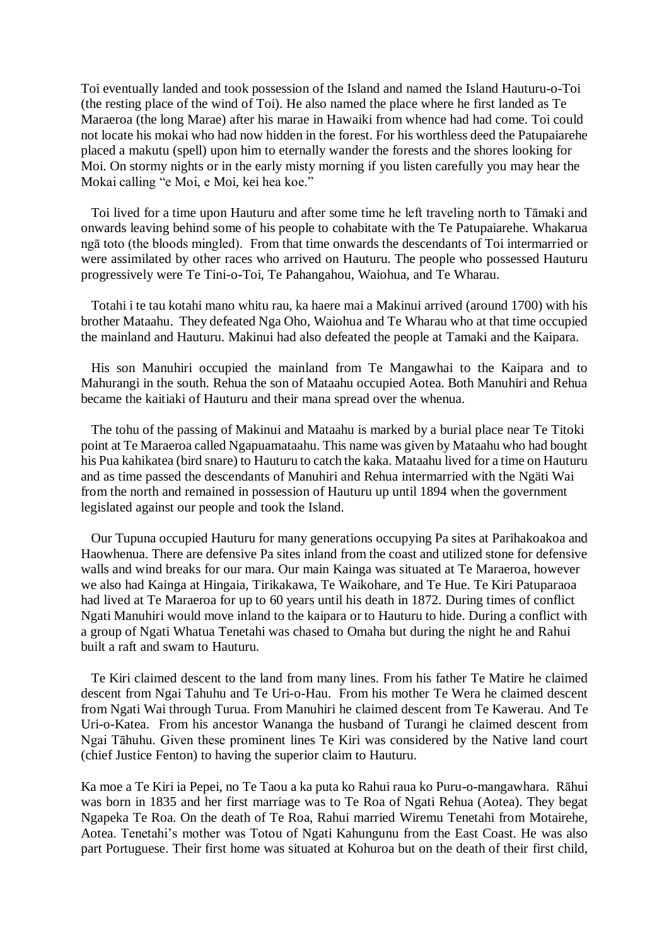Toi eventually landed and took possession of the Island and named the Island Hauturu-o-Toi (the resting place of the wind of Toi). He also named the place where he first landed as Te Maraeroa (the long Marae) after his marae in Hawaiki from whence had had come. Toi could not locate his mokai who had now hidden in the forest. For his worthless deed the Patupaiarehe placed a makutu (spell) upon him to eternally wander the forests and the shores looking for Moi. On stormy nights or in the early misty morning if you listen carefully you may hear the Mokai calling "e Moi, e Moi, kei hea koe."

 Toi lived for a time upon Hauturu and after some time he left traveling north to Tāmaki and onwards leaving behind some of his people to cohabitate with the Te Patupaiarehe. Whakarua ngā toto (the bloods mingled). From that time onwards the descendants of Toi intermarried or were assimilated by other races who arrived on Hauturu. The people who possessed Hauturu progressively were Te Tini-o-Toi, Te Pahangahou, Waiohua, and Te Wharau.

 Totahi i te tau kotahi mano whitu rau, ka haere mai a Makinui arrived (around 1700) with his brother Mataahu. They defeated Nga Oho, Waiohua and Te Wharau who at that time occupied the mainland and Hauturu. Makinui had also defeated the people at Tamaki and the Kaipara.

 His son Manuhiri occupied the mainland from Te Mangawhai to the Kaipara and to Mahurangi in the south. Rehua the son of Mataahu occupied Aotea. Both Manuhiri and Rehua became the kaitiaki of Hauturu and their mana spread over the whenua.

 The tohu of the passing of Makinui and Mataahu is marked by a burial place near Te Titoki point at Te Maraeroa called Ngapuamataahu. This name was given by Mataahu who had bought his Pua kahikatea (bird snare) to Hauturu to catch the kaka. Mataahu lived for a time on Hauturu and as time passed the descendants of Manuhiri and Rehua intermarried with the Ngäti Wai from the north and remained in possession of Hauturu up until 1894 when the government legislated against our people and took the Island.

 Our Tupuna occupied Hauturu for many generations occupying Pa sites at Parihakoakoa and Haowhenua. There are defensive Pa sites inland from the coast and utilized stone for defensive walls and wind breaks for our mara. Our main Kainga was situated at Te Maraeroa, however we also had Kainga at Hingaia, Tirikakawa, Te Waikohare, and Te Hue. Te Kiri Patuparaoa had lived at Te Maraeroa for up to 60 years until his death in 1872. During times of conflict Ngati Manuhiri would move inland to the kaipara or to Hauturu to hide. During a conflict with a group of Ngati Whatua Tenetahi was chased to Omaha but during the night he and Rahui built a raft and swam to Hauturu.

 Te Kiri claimed descent to the land from many lines. From his father Te Matire he claimed descent from Ngai Tahuhu and Te Uri-o-Hau. From his mother Te Wera he claimed descent from Ngati Wai through Turua. From Manuhiri he claimed descent from Te Kawerau. And Te Uri-o-Katea. From his ancestor Wananga the husband of Turangi he claimed descent from Ngai Tāhuhu. Given these prominent lines Te Kiri was considered by the Native land court (chief Justice Fenton) to having the superior claim to Hauturu.

Ka moe a Te Kiri ia Pepei, no Te Taou a ka puta ko Rahui raua ko Puru-o-mangawhara. Rāhui was born in 1835 and her first marriage was to Te Roa of Ngati Rehua (Aotea). They begat Ngapeka Te Roa. On the death of Te Roa, Rahui married Wiremu Tenetahi from Motairehe, Aotea. Tenetahi's mother was Totou of Ngati Kahungunu from the East Coast. He was also part Portuguese. Their first home was situated at Kohuroa but on the death of their first child,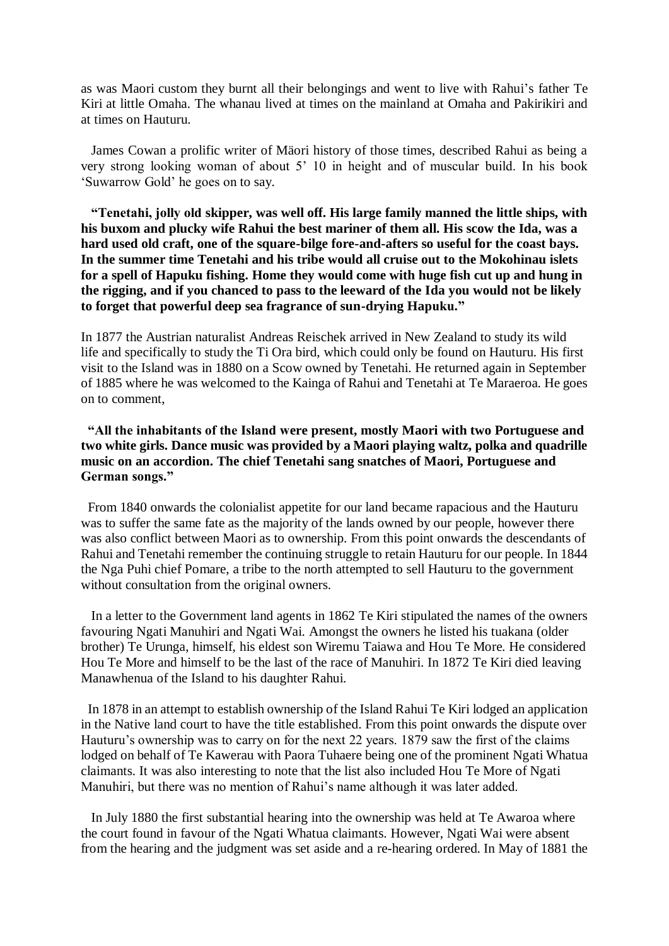as was Maori custom they burnt all their belongings and went to live with Rahui's father Te Kiri at little Omaha. The whanau lived at times on the mainland at Omaha and Pakirikiri and at times on Hauturu.

 James Cowan a prolific writer of Mäori history of those times, described Rahui as being a very strong looking woman of about 5' 10 in height and of muscular build. In his book 'Suwarrow Gold' he goes on to say.

 **"Tenetahi, jolly old skipper, was well off. His large family manned the little ships, with his buxom and plucky wife Rahui the best mariner of them all. His scow the Ida, was a hard used old craft, one of the square-bilge fore-and-afters so useful for the coast bays. In the summer time Tenetahi and his tribe would all cruise out to the Mokohinau islets for a spell of Hapuku fishing. Home they would come with huge fish cut up and hung in the rigging, and if you chanced to pass to the leeward of the Ida you would not be likely to forget that powerful deep sea fragrance of sun-drying Hapuku."**

In 1877 the Austrian naturalist Andreas Reischek arrived in New Zealand to study its wild life and specifically to study the Ti Ora bird, which could only be found on Hauturu. His first visit to the Island was in 1880 on a Scow owned by Tenetahi. He returned again in September of 1885 where he was welcomed to the Kainga of Rahui and Tenetahi at Te Maraeroa. He goes on to comment,

## **"All the inhabitants of the Island were present, mostly Maori with two Portuguese and two white girls. Dance music was provided by a Maori playing waltz, polka and quadrille music on an accordion. The chief Tenetahi sang snatches of Maori, Portuguese and German songs."**

 From 1840 onwards the colonialist appetite for our land became rapacious and the Hauturu was to suffer the same fate as the majority of the lands owned by our people, however there was also conflict between Maori as to ownership. From this point onwards the descendants of Rahui and Tenetahi remember the continuing struggle to retain Hauturu for our people. In 1844 the Nga Puhi chief Pomare, a tribe to the north attempted to sell Hauturu to the government without consultation from the original owners.

 In a letter to the Government land agents in 1862 Te Kiri stipulated the names of the owners favouring Ngati Manuhiri and Ngati Wai. Amongst the owners he listed his tuakana (older brother) Te Urunga, himself, his eldest son Wiremu Taiawa and Hou Te More. He considered Hou Te More and himself to be the last of the race of Manuhiri. In 1872 Te Kiri died leaving Manawhenua of the Island to his daughter Rahui.

 In 1878 in an attempt to establish ownership of the Island Rahui Te Kiri lodged an application in the Native land court to have the title established. From this point onwards the dispute over Hauturu's ownership was to carry on for the next 22 years. 1879 saw the first of the claims lodged on behalf of Te Kawerau with Paora Tuhaere being one of the prominent Ngati Whatua claimants. It was also interesting to note that the list also included Hou Te More of Ngati Manuhiri, but there was no mention of Rahui's name although it was later added.

 In July 1880 the first substantial hearing into the ownership was held at Te Awaroa where the court found in favour of the Ngati Whatua claimants. However, Ngati Wai were absent from the hearing and the judgment was set aside and a re-hearing ordered. In May of 1881 the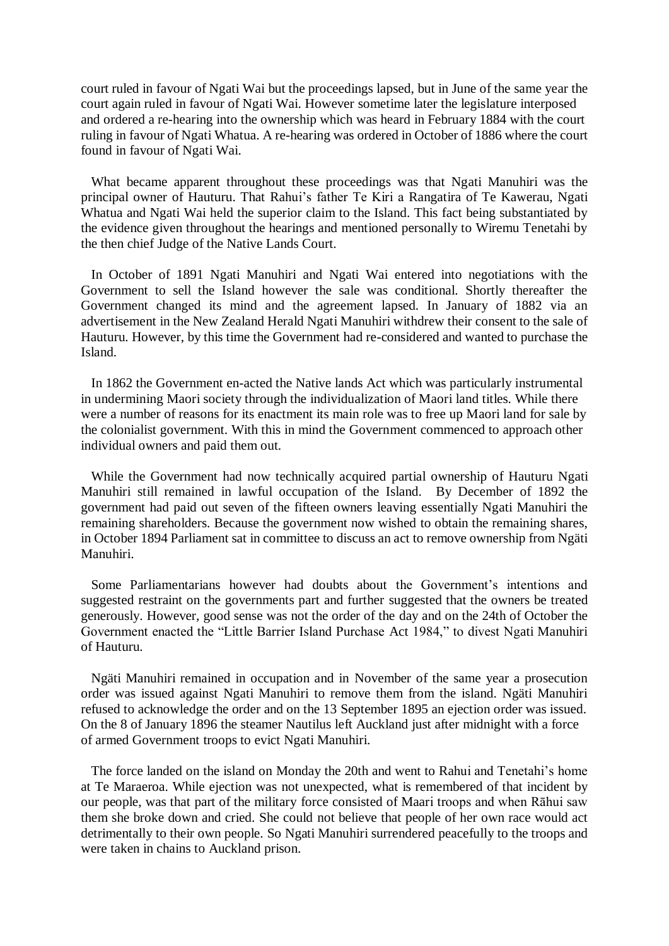court ruled in favour of Ngati Wai but the proceedings lapsed, but in June of the same year the court again ruled in favour of Ngati Wai. However sometime later the legislature interposed and ordered a re-hearing into the ownership which was heard in February 1884 with the court ruling in favour of Ngati Whatua. A re-hearing was ordered in October of 1886 where the court found in favour of Ngati Wai.

 What became apparent throughout these proceedings was that Ngati Manuhiri was the principal owner of Hauturu. That Rahui's father Te Kiri a Rangatira of Te Kawerau, Ngati Whatua and Ngati Wai held the superior claim to the Island. This fact being substantiated by the evidence given throughout the hearings and mentioned personally to Wiremu Tenetahi by the then chief Judge of the Native Lands Court.

 In October of 1891 Ngati Manuhiri and Ngati Wai entered into negotiations with the Government to sell the Island however the sale was conditional. Shortly thereafter the Government changed its mind and the agreement lapsed. In January of 1882 via an advertisement in the New Zealand Herald Ngati Manuhiri withdrew their consent to the sale of Hauturu. However, by this time the Government had re-considered and wanted to purchase the Island.

 In 1862 the Government en-acted the Native lands Act which was particularly instrumental in undermining Maori society through the individualization of Maori land titles. While there were a number of reasons for its enactment its main role was to free up Maori land for sale by the colonialist government. With this in mind the Government commenced to approach other individual owners and paid them out.

 While the Government had now technically acquired partial ownership of Hauturu Ngati Manuhiri still remained in lawful occupation of the Island. By December of 1892 the government had paid out seven of the fifteen owners leaving essentially Ngati Manuhiri the remaining shareholders. Because the government now wished to obtain the remaining shares, in October 1894 Parliament sat in committee to discuss an act to remove ownership from Ngäti Manuhiri.

 Some Parliamentarians however had doubts about the Government's intentions and suggested restraint on the governments part and further suggested that the owners be treated generously. However, good sense was not the order of the day and on the 24th of October the Government enacted the "Little Barrier Island Purchase Act 1984," to divest Ngati Manuhiri of Hauturu.

 Ngäti Manuhiri remained in occupation and in November of the same year a prosecution order was issued against Ngati Manuhiri to remove them from the island. Ngäti Manuhiri refused to acknowledge the order and on the 13 September 1895 an ejection order was issued. On the 8 of January 1896 the steamer Nautilus left Auckland just after midnight with a force of armed Government troops to evict Ngati Manuhiri.

 The force landed on the island on Monday the 20th and went to Rahui and Tenetahi's home at Te Maraeroa. While ejection was not unexpected, what is remembered of that incident by our people, was that part of the military force consisted of Maari troops and when Rāhui saw them she broke down and cried. She could not believe that people of her own race would act detrimentally to their own people. So Ngati Manuhiri surrendered peacefully to the troops and were taken in chains to Auckland prison.